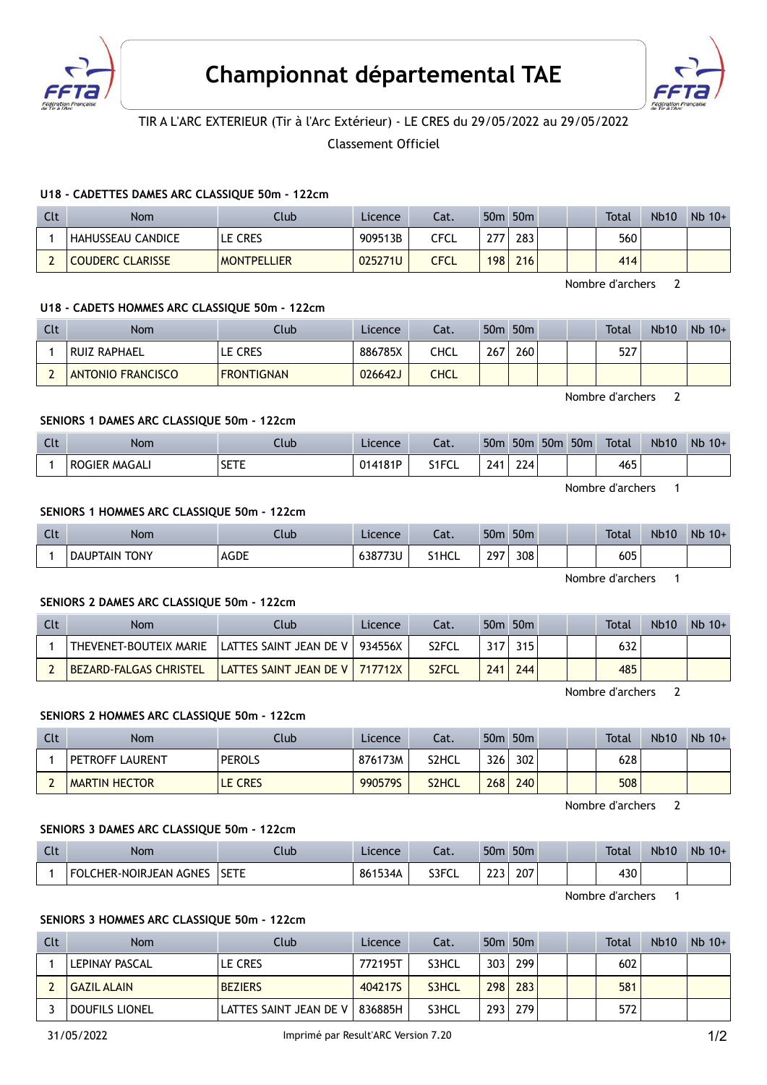



# TIR A L'ARC EXTERIEUR (Tir à l'Arc Extérieur) - LE CRES du 29/05/2022 au 29/05/2022

Classement Officiel

## U18 - CADETTES DAMES ARC CLASSIQUE 50m - 122cm

| Clt | Nom                      | Club.              | Licence | Cat. |     | 50 <sub>m</sub> 50 <sub>m</sub> |  | Total | <b>Nb10</b> | $Nb$ 10+ |
|-----|--------------------------|--------------------|---------|------|-----|---------------------------------|--|-------|-------------|----------|
|     | <b>HAHUSSEAU CANDICE</b> | LE CRES            | 909513B | CFCL | 777 | 283                             |  | 560   |             |          |
|     | <b>COUDERC CLARISSE</b>  | <b>MONTPELLIER</b> | 025271U | CFCL | 198 | 216                             |  | 414   |             |          |

Nombre d'archers 2

## U18 - CADETS HOMMES ARC CLASSIQUE 50m - 122cm

| Clt | <b>Nom</b>               | Club              | Licence | Cat. |     | 50 <sub>m</sub> 50 <sub>m</sub> |  | Total | <b>Nb10</b> | $Nb$ 10+ |
|-----|--------------------------|-------------------|---------|------|-----|---------------------------------|--|-------|-------------|----------|
|     | RUIZ RAPHAEL             | <b>CRES</b>       | 886785X | CHCL | 267 | 260                             |  | 527   |             |          |
|     | <b>ANTONIO FRANCISCO</b> | <b>FRONTIGNAN</b> | 026642J | CHCL |     |                                 |  |       |             |          |

Nombre d'archers 2

# SENIORS 1 DAMES ARC CLASSIQUE 50m - 122cm

| Clt | <b>Nom</b>           | Llub            | Licence | Cat.  | 50 <sub>m</sub> | 50 <sub>m</sub> | 50m | 50 <sub>m</sub> | <b>Total</b> | <b>Nb10</b> | $Nb$ 10+ |
|-----|----------------------|-----------------|---------|-------|-----------------|-----------------|-----|-----------------|--------------|-------------|----------|
|     | <b>ROGIER MAGALI</b> | $C = T$<br>SEIE | 014181P | S1FCL | 241             | 224             |     |                 | 465          |             |          |

Nombre d'archers 1

Nombre d'archers 1

## SENIORS 1 HOMMES ARC CLASSIQUE 50m - 122cm

| $\sim$<br><b>CLL</b> | Nom                            | Llub | Licence | Cat.  | 50 <sub>m</sub> | 50 <sub>m</sub> |  | <b>Total</b> | <b>Nb10</b> | <b>Nb</b><br>$10+$ |
|----------------------|--------------------------------|------|---------|-------|-----------------|-----------------|--|--------------|-------------|--------------------|
|                      | <b>TONY</b><br><b>DAUPTAIN</b> | AGDE | 638773U | S1HCL | 297<br>$\sim$   | 308             |  | 605          |             |                    |

## SENIORS 2 DAMES ARC CLASSIQUE 50m - 122cm

| Clt | Nom                                                         | Club                             | <b>Licence</b> | Cat.               |     | 50 <sub>m</sub> 50 <sub>m</sub> |  | Total | <b>Nb10</b> | $Nb$ 10+ |
|-----|-------------------------------------------------------------|----------------------------------|----------------|--------------------|-----|---------------------------------|--|-------|-------------|----------|
|     | THEVENET-BOUTEIX MARIE    LATTES SAINT JEAN DE V    934556X |                                  |                | S <sub>2</sub> FCL | 217 | 315                             |  | 632   |             |          |
|     | <b>BEZARD-FALGAS CHRISTEL</b>                               | LATTES SAINT JEAN DE V   717712X |                | S <sub>2</sub> FCL | 241 | 244                             |  | 485   |             |          |

Nombre d'archers 2

## SENIORS 2 HOMMES ARC CLASSIQUE 50m - 122cm

| Clt | Nom                    | Llub           | Licence | Cat.               |     | 50m 50m |  | <b>Total</b> | <b>Nb10</b> | $Nb$ 10+ |
|-----|------------------------|----------------|---------|--------------------|-----|---------|--|--------------|-------------|----------|
|     | <b>PETROFF LAURENT</b> | <b>PEROLS</b>  | 876173M | S2HCL              | 326 | 302     |  | 628          |             |          |
|     | <b>MARTIN HECTOR</b>   | <b>LE CRES</b> | 990579S | S <sub>2</sub> HCL | 268 | 240     |  | 508          |             |          |

Nombre d'archers 2

#### SENIORS 3 DAMES ARC CLASSIQUE 50m - 122cm

| Clt | Nom                                | Ilub        | Licence | ັດ <del>1</del><br>cal. | 50 <sub>m</sub> | 50 <sub>m</sub> |  | <b>Total</b> | <b>Nb10</b> | $Nb$ 10+ |
|-----|------------------------------------|-------------|---------|-------------------------|-----------------|-----------------|--|--------------|-------------|----------|
|     | CHER-NOIRJEAN AGNES<br><b>FOLC</b> | <b>SETE</b> | 861534A | S3FCL                   | ົ<br>ᅩᅩ         | 207             |  | 430          |             |          |

Nombre d'archers 1

#### SENIORS 3 HOMMES ARC CLASSIQUE 50m - 122cm

| Clt | Nom                   | Club                   | Licence | Cat.  |     | 50 <sub>m</sub> 50 <sub>m</sub> |  | Total | <b>Nb10</b> | $Nb$ 10+ |
|-----|-----------------------|------------------------|---------|-------|-----|---------------------------------|--|-------|-------------|----------|
|     | LEPINAY PASCAL        | LE CRES                | 772195T | S3HCL | 303 | 299                             |  | 602   |             |          |
|     | <b>GAZIL ALAIN</b>    | <b>BEZIERS</b>         | 404217S | S3HCL | 298 | 283                             |  | 581   |             |          |
|     | <b>DOUFILS LIONEL</b> | LATTES SAINT JEAN DE V | 836885H | S3HCL | 293 | 279                             |  | 572   |             |          |